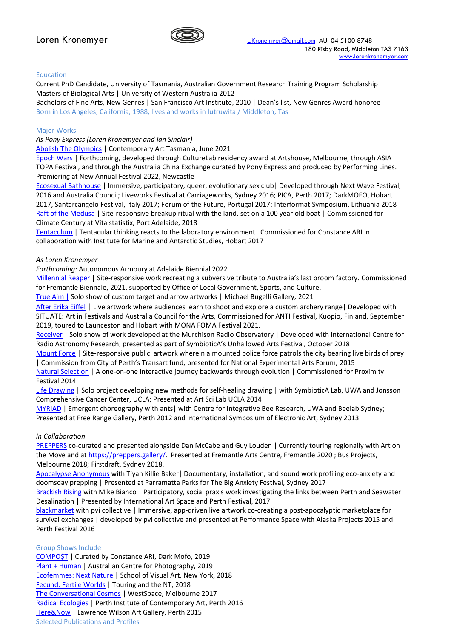

## Education

Current PhD Candidate, University of Tasmania, Australian Government Research Training Program Scholarship Masters of Biological Arts | University of Western Australia 2012

Bachelors of Fine Arts, New Genres | San Francisco Art Institute, 2010 | Dean's list, New Genres Award honoree Born in Los Angeles, California, 1988, lives and works in lutruwita / Middleton, Tas

## Major Works

*As Pony Express (Loren Kronemyer and Ian Sinclair)*

[Abolish The Olympics](https://tasmanianartsguide.com.au/whats-on/exhibitions/pony-express-abolish-the-olympics/) | Contemporary Art Tasmania, June 2021

[Epoch Wars](https://www.performinglines.org.au/projects/epoch-wars/) | Forthcoming, developed through CultureLab residency award at Artshouse, Melbourne, through ASIA TOPA Festival, and through the Australia China Exchange curated by Pony Express and produced by Performing Lines. Premiering at New Annual Festival 2022, Newcastle

[Ecosexual Bathhouse](http://helloponyexpress.com/ecosexual-bathhouse-home) | Immersive, participatory, queer, evolutionary sex club| Developed through Next Wave Festival, 2016 and Australia Council; Liveworks Festival at Carriageworks, Sydney 2016; PICA, Perth 2017; DarkMOFO, Hobart 2017, Santarcangelo Festival, Italy 2017; Forum of the Future, Portugal 2017; Interformat Symposium, Lithuania 2018 [Raft of the Medusa](http://helloponyexpress.com/sixth-wave) | Site-responsive breakup ritual with the land, set on a 100 year old boat | Commissioned for Climate Century at Vitalstatistix, Port Adelaide, 2018

[Tentaculum](http://helloponyexpress.com/tentaculum) | Tentacular thinking reacts to the laboratory environment| Commissioned for Constance ARI in collaboration with Institute for Marine and Antarctic Studies, Hobart 2017

## *As Loren Kronemyer*

*Forthcoming:* Autonomous Armoury at Adelaide Biennial 2022

[Millennial Reaper](https://fremantlebiennale.com.au/project/millennial-reaper/) | Site-responsive work recreating a subversive tribute to Australia's last broom factory. Commissioned for Fremantle Biennale, 2021, supported by Office of Local Government, Sports, and Culture.

[True Aim |](https://www.michaelbugelligallery.com/) Solo show of custom target and arrow artworks | Michael Bugelli Gallery, 2021

[After Erika Eiffel](http://rubicana.info/portfolio/after-erika-eiffel/) | Live artwork where audiences learn to shoot and explore a custom archery range| Developed with SITUATE: Art in Festivals and Australia Council for the Arts, Commissioned for ANTI Festival, Kuopio, Finland, September 2019, toured to Launceston and Hobart with MONA FOMA Festival 2021.

[Receiver](https://unhallowedarts.org/program/) | Solo show of work developed at the Murchison Radio Observatory | Developed with International Centre for Radio Astronomy Research, presented as part of SymbioticA's Unhallowed Arts Festival, October 2018

[Mount Force](http://rubicana.info/portfolio/mount-force/) | Site-responsive public artwork wherein a mounted police force patrols the city bearing live birds of prey | Commission from City of Perth's Transart fund, presented for National Experimental Arts Forum, 2015

[Natural Selection](http://rubicana.info/portfolio/natural-selection/) | A one-on-one interactive journey backwards through evolution | Commissioned for Proximity Festival 2014

[Life Drawing](http://rubicana.info/portfolio/self-healing-drawing/) | Solo project developing new methods for self-healing drawing | with SymbioticA Lab, UWA and Jonsson Comprehensive Cancer Center, UCLA; Presented at Art Sci Lab UCLA 2014

[MYRIAD](http://rubicana.info/portfolio/myriad/) | Emergent choreography with ants | with Centre for Integrative Bee Research, UWA and Beelab Sydney; Presented at Free Range Gallery, Perth 2012 and International Symposium of Electronic Art, Sydney 2013

## *In Collaboration*

[PREPPERS](https://preppers.gallery/) co-curated and presented alongside Dan McCabe and Guy Louden | Currently touring regionally with Art on the Move and at [https://preppers.gallery/.](https://preppers.gallery/) Presented at Fremantle Arts Centre, Fremantle 2020 ; Bus Projects, Melbourne 2018; Firstdraft, Sydney 2018.

[Apocalypse Anonymous](http://rubicana.info/portfolio/apocalypse-anonymous/) with Tiyan Killie Baker| Documentary, installation, and sound work profiling eco-anxiety and doomsday prepping | Presented at Parramatta Parks for The Big Anxiety Festival, Sydney 2017

[Brackish Rising](http://rubicana.info/portfolio/brackish-rising/) with Mike Bianco | Participatory, social praxis work investigating the links between Perth and Seawater Desalination | Presented by International Art Space and Perth Festival, 2017

[blackmarket](https://www.theguardian.com/culture/2015/jun/04/pvi-collectives-blackmarket-an-undeniable-feeling-of-liberation-review) with pvi collective | Immersive, app-driven live artwork co-creating a post-apocalyptic marketplace for survival exchanges | developed by pvi collective and presented at Performance Space with Alaska Projects 2015 and Perth Festival 2016

## Group Shows Include

[COMPO\\$T](https://constanceari.org/Dark-Mofo-ompo-t) | Curated by Constance ARI, Dark Mofo, 2019 [Plant + Human](https://acp.org.au/products/15-2-2019-27-4-2019-exhibition-plant-human) | Australian Centre for Photography, 2019 [Ecofemmes: Next Nature](https://sva.edu/events/eco-femmes-next-nature) | School of Visual Art, New York, 2018 [Fecund: Fertile Worlds](https://dailyreview.com.au/fecund-fertile-worlds-darwin/) | Touring and the NT, 2018 [The Conversational Cosmos](http://unprojects.org.au/un-extended/reviews/the-conversational-cosmos/) | WestSpace, Melbourne 2017 [Radical Ecologies](https://www.broadsheet.com.au/perth/art-and-design/radical-ecologies-opens-pica) | Perth Institute of Contemporary Art, Perth 2016 [Here&Now](https://www.lwgallery.uwa.edu.au/exhibitions/past/2015/hn15) | Lawrence Wilson Art Gallery, Perth 2015 Selected Publications and Profiles